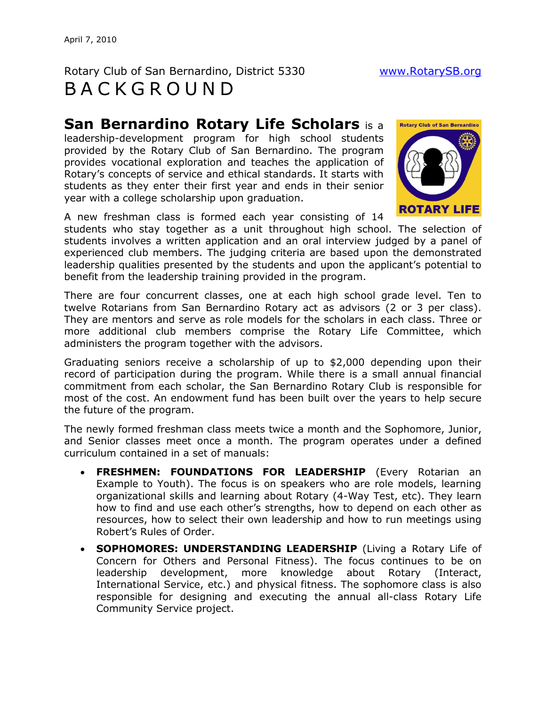## Rotary Club of San Bernardino, District 5330 [www.RotarySB.org](http://www.rotarysb.org/)  B A C K G R O U N D

**San Bernardino Rotary Life Scholars** is a

leadership-development program for high school students provided by the Rotary Club of San Bernardino. The program provides vocational exploration and teaches the application of Rotary's concepts of service and ethical standards. It starts with students as they enter their first year and ends in their senior year with a college scholarship upon graduation.



A new freshman class is formed each year consisting of 14

students who stay together as a unit throughout high school. The selection of students involves a written application and an oral interview judged by a panel of experienced club members. The judging criteria are based upon the demonstrated leadership qualities presented by the students and upon the applicant's potential to benefit from the leadership training provided in the program.

There are four concurrent classes, one at each high school grade level. Ten to twelve Rotarians from San Bernardino Rotary act as advisors (2 or 3 per class). They are mentors and serve as role models for the scholars in each class. Three or more additional club members comprise the Rotary Life Committee, which administers the program together with the advisors.

Graduating seniors receive a scholarship of up to \$2,000 depending upon their record of participation during the program. While there is a small annual financial commitment from each scholar, the San Bernardino Rotary Club is responsible for most of the cost. An endowment fund has been built over the years to help secure the future of the program.

The newly formed freshman class meets twice a month and the Sophomore, Junior, and Senior classes meet once a month. The program operates under a defined curriculum contained in a set of manuals:

- **FRESHMEN: FOUNDATIONS FOR LEADERSHIP** (Every Rotarian an Example to Youth). The focus is on speakers who are role models, learning organizational skills and learning about Rotary (4-Way Test, etc). They learn how to find and use each other's strengths, how to depend on each other as resources, how to select their own leadership and how to run meetings using Robert's Rules of Order.
- **SOPHOMORES: UNDERSTANDING LEADERSHIP** (Living a Rotary Life of Concern for Others and Personal Fitness). The focus continues to be on leadership development, more knowledge about Rotary (Interact, International Service, etc.) and physical fitness. The sophomore class is also responsible for designing and executing the annual all-class Rotary Life Community Service project.